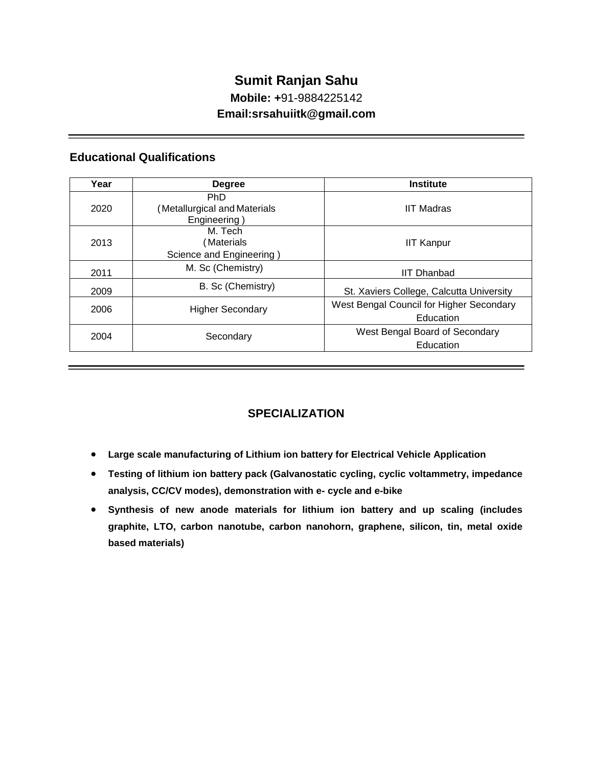# **Sumit Ranjan Sahu**

**Mobile: +**91-9884225142

#### **[Email:srsahuiitk@gmail.com](mailto:srsahuiitk@gmail.com)**

#### **Educational Qualifications**

| Year | <b>Degree</b>                                             | <b>Institute</b>                                      |
|------|-----------------------------------------------------------|-------------------------------------------------------|
| 2020 | <b>PhD</b><br>(Metallurgical and Materials<br>Engineering | <b>IIT Madras</b>                                     |
| 2013 | M. Tech<br>Materials<br>Science and Engineering)          | <b>IIT Kanpur</b>                                     |
| 2011 | M. Sc (Chemistry)                                         | <b>IIT Dhanbad</b>                                    |
| 2009 | B. Sc (Chemistry)                                         | St. Xaviers College, Calcutta University              |
| 2006 | <b>Higher Secondary</b>                                   | West Bengal Council for Higher Secondary<br>Education |
| 2004 | Secondary                                                 | West Bengal Board of Secondary<br>Education           |

### **SPECIALIZATION**

- **Large scale manufacturing of Lithium ion battery for Electrical Vehicle Application**
- **Testing of lithium ion battery pack (Galvanostatic cycling, cyclic voltammetry, impedance analysis, CC/CV modes), demonstration with e- cycle and e-bike**
- **Synthesis of new anode materials for lithium ion battery and up scaling (includes graphite, LTO, carbon nanotube, carbon nanohorn, graphene, silicon, tin, metal oxide based materials)**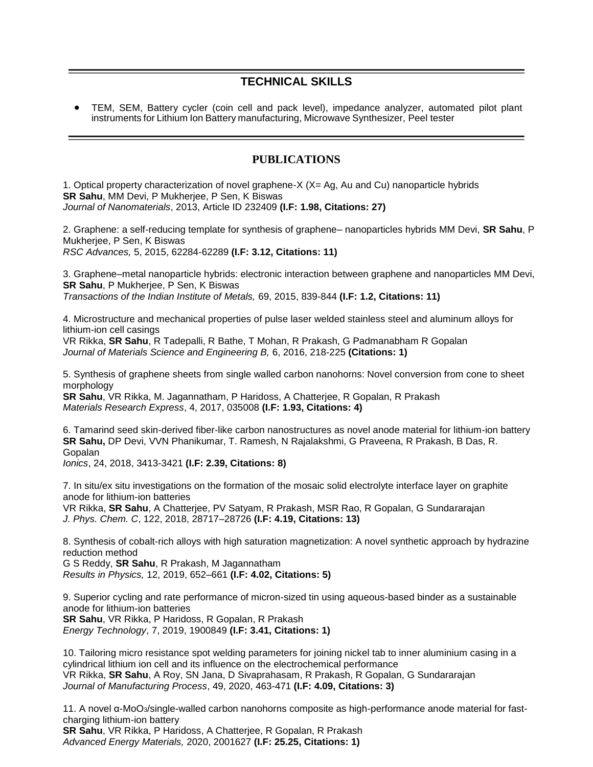#### **TECHNICAL SKILLS**

 TEM, SEM, Battery cycler (coin cell and pack level), impedance analyzer, automated pilot plant instruments for Lithium Ion Battery manufacturing, Microwave Synthesizer, Peel tester

#### **PUBLICATIONS**

1. Optical property characterization of novel graphene-X (X= Ag, Au and Cu) nanoparticle hybrids **SR Sahu**, MM Devi, P Mukherjee, P Sen, K Biswas *Journal of Nanomaterials*, 2013, Article ID 232409 **(I.F: 1.98, Citations: 27)** 

2. Graphene: a self-reducing template for synthesis of graphene– nanoparticles hybrids MM Devi, **SR Sahu**, P Mukherjee, P Sen, K Biswas *RSC Advances,* 5, 2015, 62284-62289 **(I.F: 3.12, Citations: 11)**

3. Graphene–metal nanoparticle hybrids: electronic interaction between graphene and nanoparticles MM Devi, **SR Sahu**, P Mukherjee, P Sen, K Biswas *Transactions of the Indian Institute of Metals,* 69, 2015, 839-844 **(I.F: 1.2, Citations: 11)** 

4. Microstructure and mechanical properties of pulse laser welded stainless steel and aluminum alloys for lithium-ion cell casings

VR Rikka, **SR Sahu**, R Tadepalli, R Bathe, T Mohan, R Prakash, G Padmanabham R Gopalan *Journal of Materials Science and Engineering B,* 6, 2016, 218-225 **(Citations: 1)**

5. Synthesis of graphene sheets from single walled carbon nanohorns: Novel conversion from cone to sheet morphology

**SR Sahu**, VR Rikka, M. Jagannatham, P Haridoss, A Chatterjee, R Gopalan, R Prakash *Materials Research Express*, 4, 2017, 035008 **(I.F: 1.93, Citations: 4)** 

6. Tamarind seed skin-derived fiber-like carbon nanostructures as novel anode material for lithium-ion battery **SR Sahu,** DP Devi, VVN Phanikumar, T. Ramesh, N Rajalakshmi, G Praveena, R Prakash, B Das, R. Gopalan

*Ionics*, 24, 2018, 3413-3421 **(I.F: 2.39, Citations: 8)** 

7. In situ/ex situ investigations on the formation of the mosaic solid electrolyte interface layer on graphite anode for lithium-ion batteries

VR Rikka, **SR Sahu**, A Chatterjee, PV Satyam, R Prakash, MSR Rao, R Gopalan, G Sundararajan *J. Phys. Chem. C*, 122, 2018, 28717–28726 **(I.F: 4.19, Citations: 13)**

8. Synthesis of cobalt-rich alloys with high saturation magnetization: A novel synthetic approach by hydrazine reduction method

G S Reddy, **SR Sahu**, R Prakash, M Jagannatham *Results in Physics,* 12, 2019, 652–661 **(I.F: 4.02, Citations: 5)**

9. Superior cycling and rate performance of micron-sized tin using aqueous-based binder as a sustainable anode for lithium-ion batteries **SR Sahu**, VR Rikka, P Haridoss, R Gopalan, R Prakash *Energy Technology*, 7, 2019, 1900849 **(I.F: 3.41, Citations: 1)**

10. Tailoring micro resistance spot welding parameters for joining nickel tab to inner aluminium casing in a cylindrical lithium ion cell and its influence on the electrochemical performance VR Rikka, **SR Sahu**, A Roy, SN Jana, D Sivaprahasam, R Prakash, R Gopalan, G Sundararajan *Journal of Manufacturing Process*, 49, 2020, 463-471 **(I.F: 4.09, Citations: 3)** 

11. A novel α-MoO3/single-walled carbon nanohorns composite as high-performance anode material for fastcharging lithium-ion battery

**SR Sahu**, VR Rikka, P Haridoss, A Chatterjee, R Gopalan, R Prakash *Advanced Energy Materials,* 2020, 2001627 **(I.F: 25.25, Citations: 1)**